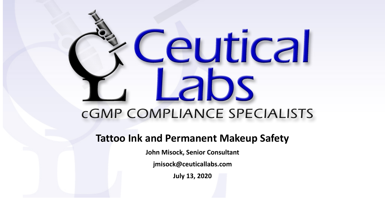# eutical DS **CGMP COMPLIANCE SPECIALISTS**

#### **Tattoo Ink and Permanent Makeup Safety**

**John Misock, Senior Consultant**

**jmisock@ceuticallabs.com**

**July 13, 2020**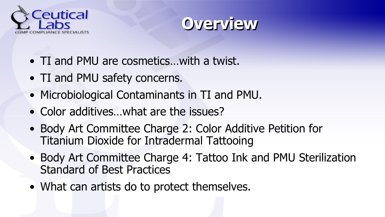



- TI and PMU are cosmetics…with a twist.
- TI and PMU safety concerns.
- Microbiological Contaminants in TI and PMU.
- Color additives...what are the issues?
- Body Art Committee Charge 2: Color Additive Petition for Titanium Dioxide for Intradermal Tattooing
- Body Art Committee Charge 4: Tattoo Ink and PMU Sterilization Standard of Best Practices
- What can artists do to protect themselves.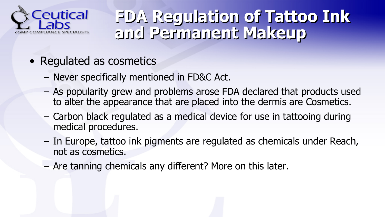

#### **FDA Regulation of Tattoo Ink and Permanent Makeup**

- Regulated as cosmetics
	- Never specifically mentioned in FD&C Act.
	- As popularity grew and problems arose FDA declared that products used to alter the appearance that are placed into the dermis are Cosmetics.
	- Carbon black regulated as a medical device for use in tattooing during medical procedures.
	- In Europe, tattoo ink pigments are regulated as chemicals under Reach, not as cosmetics.
	- Are tanning chemicals any different? More on this later.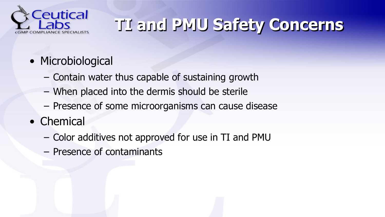

# **TI and PMU Safety Concerns**

- Microbiological
	- Contain water thus capable of sustaining growth
	- When placed into the dermis should be sterile
	- Presence of some microorganisms can cause disease
- Chemical
	- Color additives not approved for use in TI and PMU
	- Presence of contaminants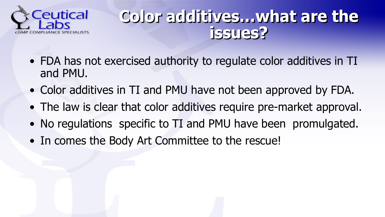

#### **Color additives…what are the issues?**

- FDA has not exercised authority to regulate color additives in TI and PMU.
- Color additives in TI and PMU have not been approved by FDA.
- The law is clear that color additives require pre-market approval.
- No regulations specific to TI and PMU have been promulgated.
- In comes the Body Art Committee to the rescue!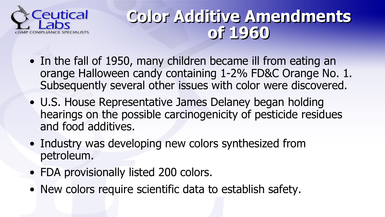

#### **Color Additive Amendments of 1960**

- In the fall of 1950, many children became ill from eating an orange Halloween candy containing 1-2% FD&C Orange No. 1. Subsequently several other issues with color were discovered.
- U.S. House Representative James Delaney began holding hearings on the possible carcinogenicity of pesticide residues and food additives.
- Industry was developing new colors synthesized from petroleum.
- FDA provisionally listed 200 colors.
- New colors require scientific data to establish safety.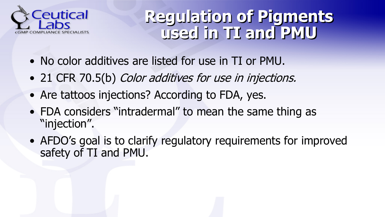

#### **Regulation of Pigments used in TI and PMU**

- No color additives are listed for use in TI or PMU.
- 21 CFR 70.5(b) Color additives for use in injections.
- Are tattoos injections? According to FDA, yes.
- FDA considers "intradermal" to mean the same thing as "injection".
- AFDO's goal is to clarify regulatory requirements for improved safety of TI and PMU.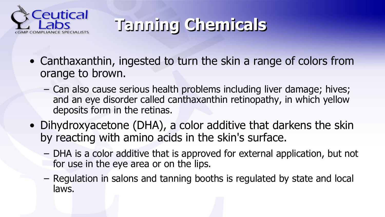

# **Tanning Chemicals**

- Canthaxanthin, ingested to turn the skin a range of colors from orange to brown.
	- Can also cause serious health problems including liver damage; hives; and an eye disorder called canthaxanthin retinopathy, in which yellow deposits form in the retinas.
- Dihydroxyacetone (DHA), a color additive that darkens the skin by reacting with amino acids in the skin's surface.
	- DHA is a color additive that is approved for external application, but not for use in the eye area or on the lips.
	- Regulation in salons and tanning booths is regulated by state and local laws.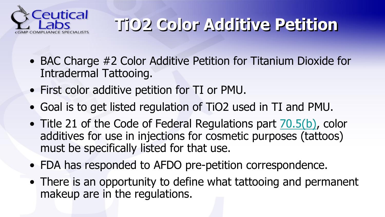

# **TiO2 Color Additive Petition**

- BAC Charge #2 Color Additive Petition for Titanium Dioxide for Intradermal Tattooing.
- First color additive petition for TI or PMU.
- Goal is to get listed regulation of TiO2 used in TI and PMU.
- Title 21 of the Code of Federal Regulations part [70.5\(b\)](https://www.ecfr.gov/cgi-bin/text-idx?SID=c84a36530b9b95048246350299c1f9e8&mc=true&node=se21.1.70_15&rgn=div8), color additives for use in injections for cosmetic purposes (tattoos) must be specifically listed for that use.
- FDA has responded to AFDO pre-petition correspondence.
- There is an opportunity to define what tattooing and permanent makeup are in the regulations.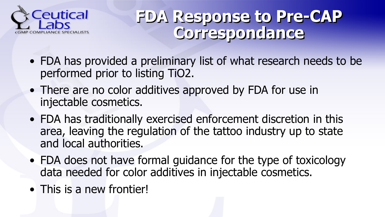

#### **FDA Response to Pre-CAP Correspondance**

- FDA has provided a preliminary list of what research needs to be performed prior to listing TiO2.
- There are no color additives approved by FDA for use in injectable cosmetics.
- FDA has traditionally exercised enforcement discretion in this area, leaving the regulation of the tattoo industry up to state and local authorities.
- FDA does not have formal guidance for the type of toxicology data needed for color additives in injectable cosmetics.
- This is a new frontier!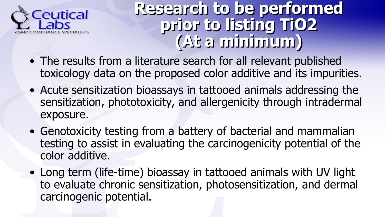

**Research to be performed prior to listing TiO2 (At a minimum)**

- The results from a literature search for all relevant published toxicology data on the proposed color additive and its impurities.
- Acute sensitization bioassays in tattooed animals addressing the sensitization, phototoxicity, and allergenicity through intradermal exposure.
- Genotoxicity testing from a battery of bacterial and mammalian testing to assist in evaluating the carcinogenicity potential of the color additive.
- Long term (life-time) bioassay in tattooed animals with UV light to evaluate chronic sensitization, photosensitization, and dermal carcinogenic potential.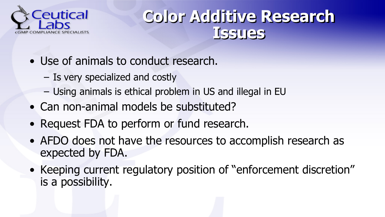

#### **Color Additive Research Issues**

- Use of animals to conduct research.
	- Is very specialized and costly
	- Using animals is ethical problem in US and illegal in EU
- Can non-animal models be substituted?
- Request FDA to perform or fund research.
- AFDO does not have the resources to accomplish research as expected by FDA.
- Keeping current regulatory position of "enforcement discretion" is a possibility.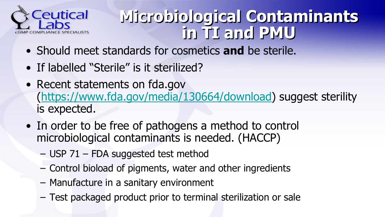

### **Microbiological Contaminants in TI and PMU**

- Should meet standards for cosmetics **and** be sterile.
- If labelled "Sterile" is it sterilized?
- Recent statements on fda.gov ([https://www.fda.gov/media/130664/download\)](https://www.fda.gov/media/130664/download) suggest sterility is expected.
- In order to be free of pathogens a method to control microbiological contaminants is needed. (HACCP)
	- USP 71 FDA suggested test method
	- Control bioload of pigments, water and other ingredients
	- Manufacture in a sanitary environment
	- Test packaged product prior to terminal sterilization or sale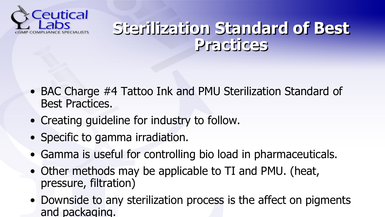

#### **Sterilization Standard of Best Practices**

- BAC Charge #4 Tattoo Ink and PMU Sterilization Standard of Best Practices.
- Creating guideline for industry to follow.
- Specific to gamma irradiation.
- Gamma is useful for controlling bio load in pharmaceuticals.
- Other methods may be applicable to TI and PMU. (heat, pressure, filtration)
- Downside to any sterilization process is the affect on pigments and packaging.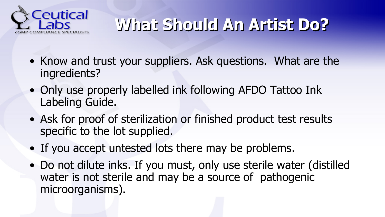

# **What Should An Artist Do?**

- Know and trust your suppliers. Ask questions. What are the ingredients?
- Only use properly labelled ink following AFDO Tattoo Ink Labeling Guide.
- Ask for proof of sterilization or finished product test results specific to the lot supplied.
- If you accept untested lots there may be problems.
- Do not dilute inks. If you must, only use sterile water (distilled water is not sterile and may be a source of pathogenic microorganisms).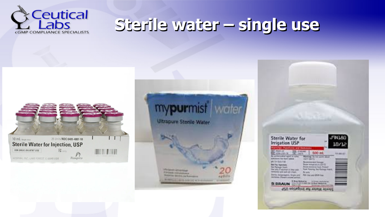

### **Sterile water – single use**





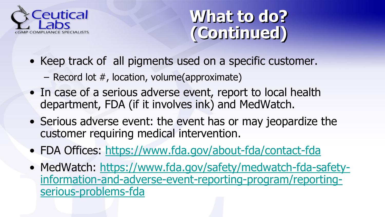

#### **What to do? (Continued)**

- Keep track of all pigments used on a specific customer.
	- Record lot #, location, volume(approximate)
- In case of a serious adverse event, report to local health department, FDA (if it involves ink) and MedWatch.
- Serious adverse event: the event has or may jeopardize the customer requiring medical intervention.
- FDA Offices: <https://www.fda.gov/about-fda/contact-fda>
- [MedWatch: https://www.fda.gov/safety/medwatch-fda-safety](https://www.fda.gov/safety/medwatch-fda-safety-information-and-adverse-event-reporting-program/reporting-serious-problems-fda)information-and-adverse-event-reporting-program/reportingserious-problems-fda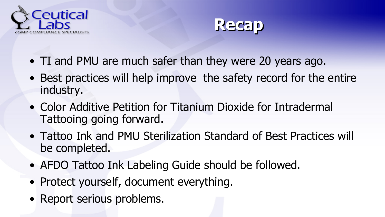



- TI and PMU are much safer than they were 20 years ago.
- Best practices will help improve the safety record for the entire industry.
- Color Additive Petition for Titanium Dioxide for Intradermal Tattooing going forward.
- Tattoo Ink and PMU Sterilization Standard of Best Practices will be completed.
- AFDO Tattoo Ink Labeling Guide should be followed.
- Protect yourself, document everything.
- Report serious problems.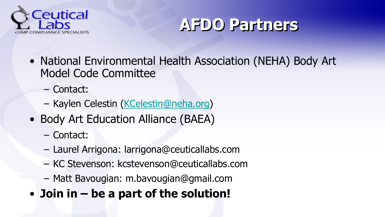



- National Environmental Health Association (NEHA) Body Art Model Code Committee
	- Contact:
	- Kaylen Celestin ([KCelestin@neha.org\)](mailto:KCelestin@neha.org%3Cmailto:KCelestin@neha.org)
- Body Art Education Alliance (BAEA)
	- Contact:
	- Laurel Arrigona: larrigona@ceuticallabs.com
	- KC Stevenson: kcstevenson@ceuticallabs.com
	- Matt Bavougian: m.bavougian@gmail.com
- **Join in – be a part of the solution!**